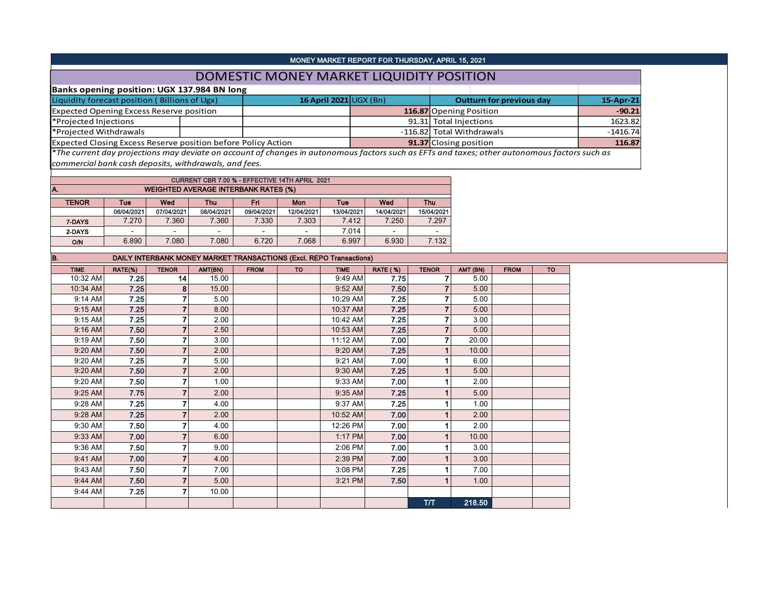| MONEY MARKET REPORT FOR THURSDAY, APRIL 15, 2021                     |  |                        |  |                                                                                                                                               |            |  |  |  |  |  |  |
|----------------------------------------------------------------------|--|------------------------|--|-----------------------------------------------------------------------------------------------------------------------------------------------|------------|--|--|--|--|--|--|
| DOMESTIC MONEY MARKET LIQUIDITY POSITION                             |  |                        |  |                                                                                                                                               |            |  |  |  |  |  |  |
| Banks opening position: UGX 137.984 BN long                          |  |                        |  |                                                                                                                                               |            |  |  |  |  |  |  |
| Liquidity forecast position (Billions of Ugx)                        |  | 16 April 2021 UGX (Bn) |  | Outturn for previous day                                                                                                                      | 15-Apr-21  |  |  |  |  |  |  |
| <b>Expected Opening Excess Reserve position</b>                      |  |                        |  | 116.87 Opening Position                                                                                                                       | $-90.21$   |  |  |  |  |  |  |
| *Projected Injections                                                |  |                        |  | 91.31 Total Injections                                                                                                                        | 1623.82    |  |  |  |  |  |  |
| *Projected Withdrawals                                               |  |                        |  | -116.82 Total Withdrawals                                                                                                                     | $-1416.74$ |  |  |  |  |  |  |
| <b>Expected Closing Excess Reserve position before Policy Action</b> |  |                        |  | 91.37 Closing position                                                                                                                        | 116.87     |  |  |  |  |  |  |
|                                                                      |  |                        |  | *The current day projections may deviate on account of changes in autonomous factors such as EFTs and taxes; other autonomous factors such as |            |  |  |  |  |  |  |

*commercial bank cash deposits, withdrawals, and fees.*

| CURRENT CBR 7.00 % - EFFECTIVE 14TH APRIL 2021 |                                                                    |                          |                          |                          |            |            |                          |            |  |  |  |  |  |  |  |
|------------------------------------------------|--------------------------------------------------------------------|--------------------------|--------------------------|--------------------------|------------|------------|--------------------------|------------|--|--|--|--|--|--|--|
| IA.                                            | <b>WEIGHTED AVERAGE INTERBANK RATES (%)</b>                        |                          |                          |                          |            |            |                          |            |  |  |  |  |  |  |  |
| <b>TENOR</b>                                   | Wed<br>Fri<br>Wed<br><b>Thu</b><br><b>Thu</b><br>Mon<br>Tue<br>Tue |                          |                          |                          |            |            |                          |            |  |  |  |  |  |  |  |
|                                                | 06/04/2021                                                         | 07/04/2021               | 08/04/2021               | 09/04/2021               | 12/04/2021 | 13/04/2021 | 14/04/2021               | 15/04/2021 |  |  |  |  |  |  |  |
| 7-DAYS                                         | 7.270                                                              | 7.360                    | 7.360                    | 7.330                    | 7.303      | 7.412      | 7.250                    | 7.297      |  |  |  |  |  |  |  |
| 2-DAYS                                         | $\overline{a}$                                                     | $\overline{\phantom{0}}$ | $\overline{\phantom{0}}$ | $\overline{\phantom{0}}$ |            | 7.014      | $\overline{\phantom{0}}$ | -          |  |  |  |  |  |  |  |
| <b>O/N</b>                                     | 6.890                                                              | 7.080                    | 7.080                    | 6.720                    | 7.068      | 6.997      | 6.930                    | 7.132      |  |  |  |  |  |  |  |

| IB.         |         |                | <b>DAILY INTERBANK MONEY MARKET TRANSACTIONS (Excl. REPO Transactions)</b> |             |           |             |                 |              |          |             |           |
|-------------|---------|----------------|----------------------------------------------------------------------------|-------------|-----------|-------------|-----------------|--------------|----------|-------------|-----------|
| <b>TIME</b> | RATE(%) | <b>TENOR</b>   | AMT(BN)                                                                    | <b>FROM</b> | <b>TO</b> | <b>TIME</b> | <b>RATE (%)</b> | <b>TENOR</b> | AMT (BN) | <b>FROM</b> | <b>TO</b> |
| 10:32 AM    | 7.25    | 14             | 15.00                                                                      |             |           | 9:49 AM     | 7.75            |              | 5.00     |             |           |
| 10:34 AM    | 7.25    | 8              | 15.00                                                                      |             |           | 9:52 AM     | 7.50            |              | 5.00     |             |           |
| 9:14 AM     | 7.25    | 7              | 5.00                                                                       |             |           | 10:29 AM    | 7.25            |              | 5.00     |             |           |
| 9:15 AM     | 7.25    | $\overline{7}$ | 8.00                                                                       |             |           | 10:37 AM    | 7.25            |              | 5.00     |             |           |
| 9:15 AM     | 7.25    | 7              | 2.00                                                                       |             |           | 10:42 AM    | 7.25            |              | 3.00     |             |           |
| 9:16 AM     | 7.50    | $\overline{7}$ | 2.50                                                                       |             |           | 10:53 AM    | 7.25            |              | 5.00     |             |           |
| 9:19 AM     | 7.50    | 7              | 3.00                                                                       |             |           | 11:12 AM    | 7.00            |              | 20.00    |             |           |
| 9:20 AM     | 7.50    |                | 2.00                                                                       |             |           | 9:20 AM     | 7.25            |              | 10.00    |             |           |
| 9:20 AM     | 7.25    |                | 5.00                                                                       |             |           | 9:21 AM     | 7.00            |              | 6.00     |             |           |
| 9:20 AM     | 7.50    | 7              | 2.00                                                                       |             |           | 9:30 AM     | 7.25            |              | 5.00     |             |           |
| 9:20 AM     | 7.50    |                | 1.00                                                                       |             |           | 9:33 AM     | 7.00            |              | 2.00     |             |           |
| 9:25 AM     | 7.75    | 7              | 2.00                                                                       |             |           | 9:35 AM     | 7.25            |              | 5.00     |             |           |
| 9:28 AM     | 7.25    | 7              | 4.00                                                                       |             |           | 9:37 AM     | 7.25            |              | 1.00     |             |           |
| 9:28 AM     | 7.25    | 7              | 2.00                                                                       |             |           | 10:52 AM    | 7.00            |              | 2.00     |             |           |
| 9:30 AM     | 7.50    | 7              | 4.00                                                                       |             |           | 12:26 PM    | 7.00            |              | 2.00     |             |           |
| 9:33 AM     | 7.00    | $\overline{7}$ | 6.00                                                                       |             |           | 1:17 PM     | 7.00            |              | 10.00    |             |           |
| 9:36 AM     | 7.50    |                | 9.00                                                                       |             |           | 2:06 PM     | 7.00            |              | 3.00     |             |           |
| 9:41 AM     | 7.00    | 7              | 4.00                                                                       |             |           | 2:39 PM     | 7.00            |              | 3.00     |             |           |
| 9:43 AM     | 7.50    |                | 7.00                                                                       |             |           | 3:08 PM     | 7.25            |              | 7.00     |             |           |
| 9:44 AM     | 7.50    | $\overline{7}$ | 5.00                                                                       |             |           | 3:21 PM     | 7.50            |              | 1.00     |             |           |
| 9:44 AM     | 7.25    | 7              | 10.00                                                                      |             |           |             |                 |              |          |             |           |
|             |         |                |                                                                            |             |           |             |                 | <b>T/T</b>   | 218.50   |             |           |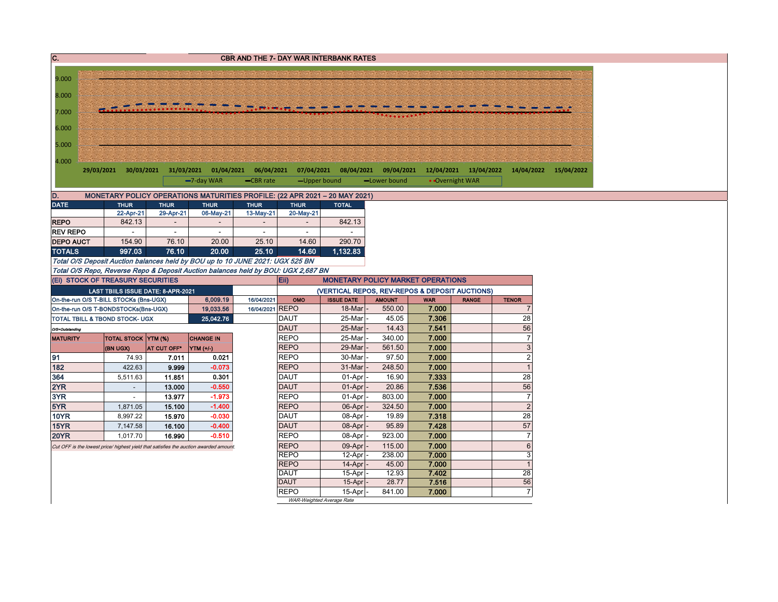| C.               |                                        |                     |                                    |                                                                                        |                 |                            | <b>CBR AND THE 7- DAY WAR INTERBANK RATES</b>                              |                  |                |                       |                                   |                       |  |
|------------------|----------------------------------------|---------------------|------------------------------------|----------------------------------------------------------------------------------------|-----------------|----------------------------|----------------------------------------------------------------------------|------------------|----------------|-----------------------|-----------------------------------|-----------------------|--|
|                  |                                        |                     |                                    |                                                                                        |                 |                            |                                                                            |                  |                |                       |                                   |                       |  |
| 9.000            |                                        |                     |                                    |                                                                                        |                 |                            |                                                                            |                  |                |                       |                                   |                       |  |
| 8.000            |                                        |                     |                                    |                                                                                        |                 |                            |                                                                            |                  |                |                       |                                   |                       |  |
| 7.000            |                                        |                     |                                    |                                                                                        |                 |                            |                                                                            |                  |                |                       |                                   |                       |  |
|                  |                                        |                     |                                    |                                                                                        |                 |                            |                                                                            |                  |                |                       |                                   |                       |  |
| 6.000            |                                        |                     |                                    |                                                                                        |                 |                            |                                                                            |                  |                |                       |                                   |                       |  |
| 5.000            |                                        |                     |                                    |                                                                                        |                 |                            |                                                                            |                  |                |                       |                                   |                       |  |
|                  |                                        |                     |                                    |                                                                                        |                 |                            |                                                                            |                  |                |                       |                                   |                       |  |
| 4.000            |                                        |                     |                                    | 29/03/2021 30/03/2021 31/03/2021 01/04/2021                                            | 06/04/2021      |                            | 07/04/2021 08/04/2021 09/04/2021                                           |                  |                | 12/04/2021 13/04/2022 |                                   | 14/04/2022 15/04/2022 |  |
|                  |                                        |                     |                                    | $-7$ -day WAR                                                                          | -CBR rate       | -Upper bound               |                                                                            | -Lower bound     |                | • Overnight WAR       |                                   |                       |  |
| D.               |                                        |                     |                                    |                                                                                        |                 |                            | MONETARY POLICY OPERATIONS MATURITIES PROFILE: (22 APR 2021 - 20 MAY 2021) |                  |                |                       |                                   |                       |  |
| <b>DATE</b>      |                                        | <b>THUR</b>         | <b>THUR</b>                        | <b>THUR</b>                                                                            | <b>THUR</b>     | <b>THUR</b>                | <b>TOTAL</b>                                                               |                  |                |                       |                                   |                       |  |
|                  |                                        | 22-Apr-21           | 29-Apr-21                          | 06-May-21                                                                              | 13-May-21       | 20-May-21                  |                                                                            |                  |                |                       |                                   |                       |  |
| <b>REPO</b>      |                                        | 842.13              |                                    | $\overline{a}$                                                                         |                 |                            | 842.13                                                                     |                  |                |                       |                                   |                       |  |
| <b>REV REPO</b>  |                                        |                     | $\sim$                             | $\sim$                                                                                 | $\sim$          | $\sim$                     |                                                                            |                  |                |                       |                                   |                       |  |
| <b>DEPO AUCT</b> |                                        | 154.90              | 76.10                              | 20.00                                                                                  | 25.10           | 14.60                      | 290.70                                                                     |                  |                |                       |                                   |                       |  |
| <b>TOTALS</b>    |                                        | 997.03              | 76.10                              | 20.00<br>Total O/S Deposit Auction balances held by BOU up to 10 JUNE 2021: UGX 525 BN | 25.10           | 14.60                      | 1,132.83                                                                   |                  |                |                       |                                   |                       |  |
|                  |                                        |                     |                                    | Total O/S Repo, Reverse Repo & Deposit Auction balances held by BOU: UGX 2,687 BN      |                 |                            |                                                                            |                  |                |                       |                                   |                       |  |
|                  | (Ei) STOCK OF TREASURY SECURITIES      |                     |                                    |                                                                                        |                 | Eii)                       | <b>MONETARY POLICY MARKET OPERATIONS</b>                                   |                  |                |                       |                                   |                       |  |
|                  |                                        |                     | LAST TBIILS ISSUE DATE: 8-APR-2021 |                                                                                        |                 |                            | (VERTICAL REPOS, REV-REPOS & DEPOSIT AUCTIONS)                             |                  |                |                       |                                   |                       |  |
|                  | On-the-run O/S T-BILL STOCKs (Bns-UGX) |                     |                                    | 6,009.19                                                                               | 16/04/2021      | OMO                        | <b>ISSUE DATE</b>                                                          | <b>AMOUNT</b>    | <b>WAR</b>     | <b>RANGE</b>          | <b>TENOR</b>                      |                       |  |
|                  | On-the-run O/S T-BONDSTOCKs(Bns-UGX)   |                     |                                    | 19,033.56                                                                              | 16/04/2021 REPO |                            | 18-Mar                                                                     | 550.00           | 7.000          |                       | $\overline{7}$                    |                       |  |
|                  | TOTAL TBILL & TBOND STOCK- UGX         |                     |                                    | 25,042.76                                                                              |                 | <b>DAUT</b>                | 25-Mar                                                                     | 45.05            | 7.306          |                       | 28                                |                       |  |
| O/S=Outstanding  |                                        |                     |                                    |                                                                                        |                 | <b>DAUT</b>                | 25-Mar                                                                     | 14.43            | 7.541          |                       | 56                                |                       |  |
| <b>MATURITY</b>  |                                        | TOTAL STOCK YTM (%) |                                    | <b>CHANGE IN</b>                                                                       |                 | <b>REPO</b><br><b>REPO</b> | 25-Mar<br>29-Mar                                                           | 340.00           | 7.000          |                       | $\overline{7}$<br>3               |                       |  |
| 91               | (BN UGX)                               | 74.93               | AT CUT OFF*<br>7.011               | YTM (+/-)<br>0.021                                                                     |                 | <b>REPO</b>                | 30-Mar                                                                     | 561.50<br>97.50  | 7.000<br>7.000 |                       | $\overline{\mathbf{c}}$           |                       |  |
| 182              |                                        | 422.63              | 9.999                              | $-0.073$                                                                               |                 | <b>REPO</b>                | 31-Mar                                                                     | 248.50           | 7.000          |                       | $\overline{1}$                    |                       |  |
| 364              |                                        | 5,511.63            | 11.851                             | 0.301                                                                                  |                 | <b>DAUT</b>                | 01-Apr                                                                     | 16.90            | 7.333          |                       | 28                                |                       |  |
| 2YR              |                                        | $\sim$              | 13.000                             | $-0.550$                                                                               |                 | <b>DAUT</b>                | 01-Apr                                                                     | 20.86            | 7.536          |                       | 56                                |                       |  |
| 3YR              |                                        | $\sim$              | 13.977                             | $-1.973$                                                                               |                 | <b>REPO</b>                | 01-Apr                                                                     | 803.00           | 7.000          |                       | $\overline{7}$                    |                       |  |
| 5YR              |                                        | 1,871.05            | 15.100                             | $-1.400$                                                                               |                 | <b>REPO</b>                | 06-Apr                                                                     | 324.50           | 7.000          |                       | $\overline{c}$                    |                       |  |
| <b>10YR</b>      |                                        | 8,997.22            | 15.970                             | $-0.030$                                                                               |                 | <b>DAUT</b>                | 08-Apr                                                                     | 19.89            | 7.318          |                       | 28                                |                       |  |
| <b>15YR</b>      |                                        | 7,147.58            | 16.100                             | $-0.400$                                                                               |                 | <b>DAUT</b>                | 08-Apr                                                                     | 95.89            | 7.428          |                       | 57                                |                       |  |
| <b>20YR</b>      |                                        | 1,017.70            | 16.990                             | $-0.510$                                                                               |                 | <b>REPO</b>                | 08-Apr                                                                     | 923.00           | 7.000          |                       | $\overline{7}$                    |                       |  |
|                  |                                        |                     |                                    | Cut OFF is the lowest price/ highest yield that satisfies the auction awarded amount.  |                 | <b>REPO</b><br><b>REPO</b> | 09-Apr<br>12-Apr                                                           | 115.00<br>238.00 | 7.000<br>7.000 |                       | $6\phantom{1}6$<br>$\overline{3}$ |                       |  |
|                  |                                        |                     |                                    |                                                                                        |                 | <b>REPO</b>                | 14-Apr                                                                     | 45.00            | 7.000          |                       | $\overline{1}$                    |                       |  |
|                  |                                        |                     |                                    |                                                                                        |                 | <b>DAUT</b>                | 15-Apr                                                                     | 12.93            | 7.402          |                       | $\overline{28}$                   |                       |  |
|                  |                                        |                     |                                    |                                                                                        |                 | <b>DAUT</b>                | 15-Apr                                                                     | 28.77            | 7.516          |                       | 56                                |                       |  |
|                  |                                        |                     |                                    |                                                                                        |                 | <b>REPO</b>                | 15-Apr                                                                     | 841.00           | 7.000          |                       | $\overline{7}$                    |                       |  |
|                  |                                        |                     |                                    |                                                                                        |                 |                            | WAR-Weighted Average Rate                                                  |                  |                |                       |                                   |                       |  |